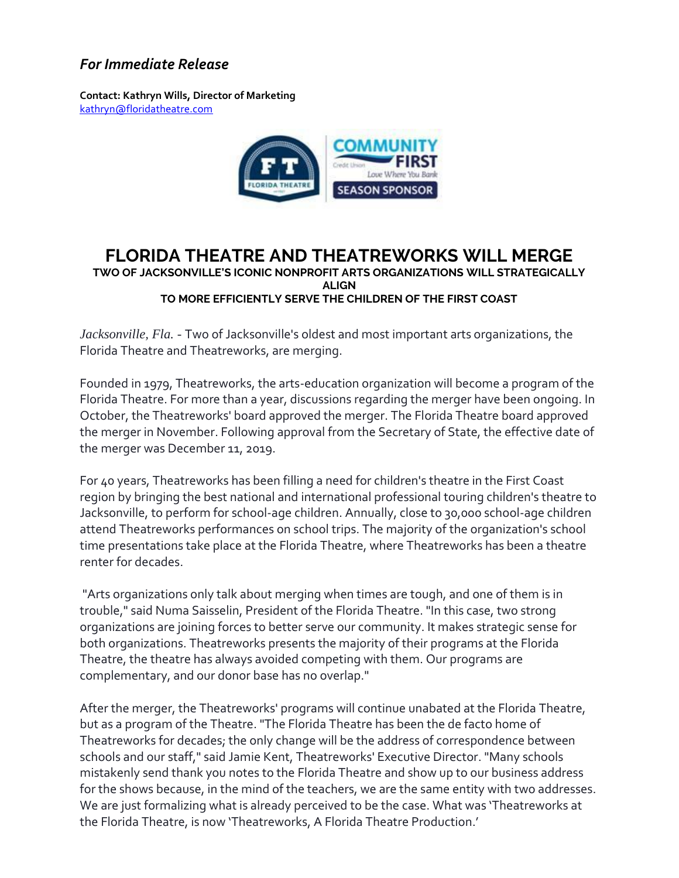## *For Immediate Release*

**Contact: Kathryn Wills, Director of Marketing**  [kathryn@floridatheatre.com](mailto:kathryn@floridatheatre.com)



## **FLORIDA THEATRE AND THEATREWORKS WILL MERGE TWO OF JACKSONVILLE'S ICONIC NONPROFIT ARTS ORGANIZATIONS WILL STRATEGICALLY ALIGN TO MORE EFFICIENTLY SERVE THE CHILDREN OF THE FIRST COAST**

*Jacksonville, Fla.* - Two of Jacksonville's oldest and most important arts organizations, the Florida Theatre and Theatreworks, are merging.

Founded in 1979, Theatreworks, the arts-education organization will become a program of the Florida Theatre. For more than a year, discussions regarding the merger have been ongoing. In October, the Theatreworks' board approved the merger. The Florida Theatre board approved the merger in November. Following approval from the Secretary of State, the effective date of the merger was December 11, 2019.

For 40 years, Theatreworks has been filling a need for children's theatre in the First Coast region by bringing the best national and international professional touring children's theatre to Jacksonville, to perform for school-age children. Annually, close to 30,000 school-age children attend Theatreworks performances on school trips. The majority of the organization's school time presentations take place at the Florida Theatre, where Theatreworks has been a theatre renter for decades.

"Arts organizations only talk about merging when times are tough, and one of them is in trouble," said Numa Saisselin, President of the Florida Theatre. "In this case, two strong organizations are joining forces to better serve our community. It makes strategic sense for both organizations. Theatreworks presents the majority of their programs at the Florida Theatre, the theatre has always avoided competing with them. Our programs are complementary, and our donor base has no overlap."

After the merger, the Theatreworks' programs will continue unabated at the Florida Theatre, but as a program of the Theatre. "The Florida Theatre has been the de facto home of Theatreworks for decades; the only change will be the address of correspondence between schools and our staff," said Jamie Kent, Theatreworks' Executive Director. "Many schools mistakenly send thank you notes to the Florida Theatre and show up to our business address for the shows because, in the mind of the teachers, we are the same entity with two addresses. We are just formalizing what is already perceived to be the case. What was 'Theatreworks at the Florida Theatre, is now 'Theatreworks, A Florida Theatre Production.'